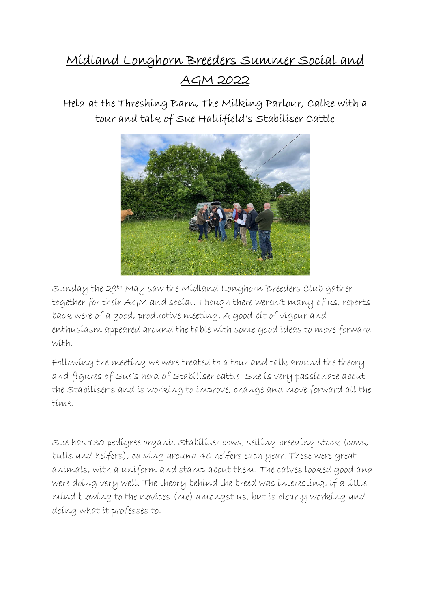## Midland Longhorn Breeders Summer Social and AGM 2022



Held at the Threshing Barn, The Milking Parlour, Calke with a tour and talk of Sue Hallifield's Stabiliser Cattle

Sunday the 29th May saw the Midland Longhorn Breeders Club gather together for their AGM and social. Though there weren't many of us, reports back were of a good, productive meeting. A good bit of vigour and enthusiasm appeared around the table with some good ideas to move forward with.

Following the meeting we were treated to a tour and talk around the theory and figures of Sue's herd of Stabiliser cattle. Sue is very passionate about the Stabiliser's and is working to improve, change and move forward all the time.

Sue has 130 pedigree organic Stabiliser cows, selling breeding stock (cows, bulls and heifers), calving around 40 heifers each year. These were great animals, with a uniform and stamp about them. The calves looked good and were doing very well. The theory behind the breed was interesting, if a little mind blowing to the novices (me) amongst us, but is clearly working and doing what it professes to.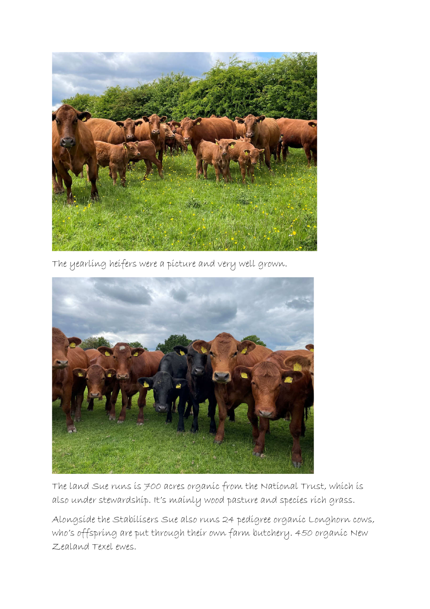

The yearling heifers were a picture and very well grown.



The land Sue runs is 700 acres organic from the National Trust, which is also under stewardship. It's mainly wood pasture and species rich grass.

Alongside the Stabilisers Sue also runs 24 pedigree organic Longhorn cows, who's offspring are put through their own farm butchery. 450 organic New Zealand Texel ewes.